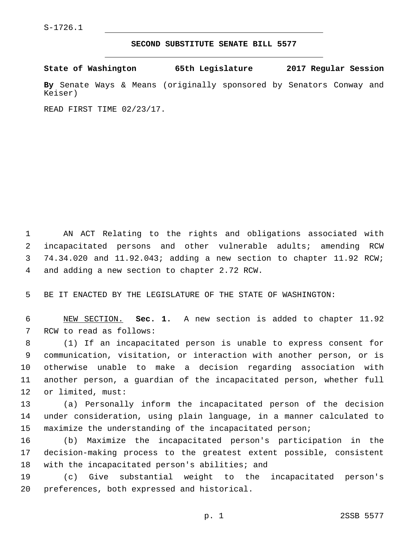## **SECOND SUBSTITUTE SENATE BILL 5577**

**State of Washington 65th Legislature 2017 Regular Session**

**By** Senate Ways & Means (originally sponsored by Senators Conway and Keiser)

READ FIRST TIME 02/23/17.

 AN ACT Relating to the rights and obligations associated with incapacitated persons and other vulnerable adults; amending RCW 74.34.020 and 11.92.043; adding a new section to chapter 11.92 RCW; 4 and adding a new section to chapter 2.72 RCW.

5 BE IT ENACTED BY THE LEGISLATURE OF THE STATE OF WASHINGTON:

6 NEW SECTION. **Sec. 1.** A new section is added to chapter 11.92 7 RCW to read as follows:

 (1) If an incapacitated person is unable to express consent for communication, visitation, or interaction with another person, or is otherwise unable to make a decision regarding association with another person, a guardian of the incapacitated person, whether full 12 or limited, must:

13 (a) Personally inform the incapacitated person of the decision 14 under consideration, using plain language, in a manner calculated to 15 maximize the understanding of the incapacitated person;

16 (b) Maximize the incapacitated person's participation in the 17 decision-making process to the greatest extent possible, consistent 18 with the incapacitated person's abilities; and

19 (c) Give substantial weight to the incapacitated person's 20 preferences, both expressed and historical.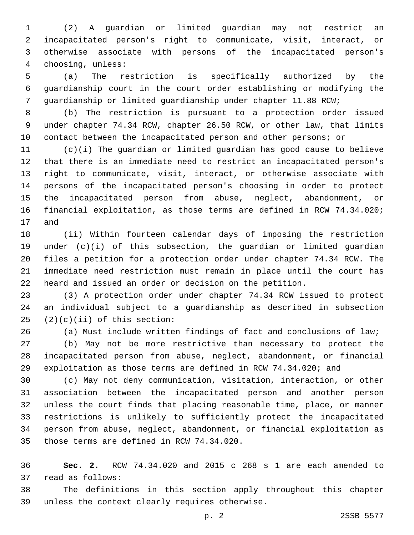(2) A guardian or limited guardian may not restrict an incapacitated person's right to communicate, visit, interact, or otherwise associate with persons of the incapacitated person's 4 choosing, unless:

 (a) The restriction is specifically authorized by the guardianship court in the court order establishing or modifying the guardianship or limited guardianship under chapter 11.88 RCW;

 (b) The restriction is pursuant to a protection order issued under chapter 74.34 RCW, chapter 26.50 RCW, or other law, that limits contact between the incapacitated person and other persons; or

 (c)(i) The guardian or limited guardian has good cause to believe that there is an immediate need to restrict an incapacitated person's right to communicate, visit, interact, or otherwise associate with persons of the incapacitated person's choosing in order to protect the incapacitated person from abuse, neglect, abandonment, or financial exploitation, as those terms are defined in RCW 74.34.020; 17 and

 (ii) Within fourteen calendar days of imposing the restriction under (c)(i) of this subsection, the guardian or limited guardian files a petition for a protection order under chapter 74.34 RCW. The immediate need restriction must remain in place until the court has heard and issued an order or decision on the petition.

 (3) A protection order under chapter 74.34 RCW issued to protect an individual subject to a guardianship as described in subsection  $(2)(c)(ii)$  of this section:

(a) Must include written findings of fact and conclusions of law;

 (b) May not be more restrictive than necessary to protect the incapacitated person from abuse, neglect, abandonment, or financial exploitation as those terms are defined in RCW 74.34.020; and

 (c) May not deny communication, visitation, interaction, or other association between the incapacitated person and another person unless the court finds that placing reasonable time, place, or manner restrictions is unlikely to sufficiently protect the incapacitated person from abuse, neglect, abandonment, or financial exploitation as 35 those terms are defined in RCW 74.34.020.

 **Sec. 2.** RCW 74.34.020 and 2015 c 268 s 1 are each amended to 37 read as follows:

 The definitions in this section apply throughout this chapter 39 unless the context clearly requires otherwise.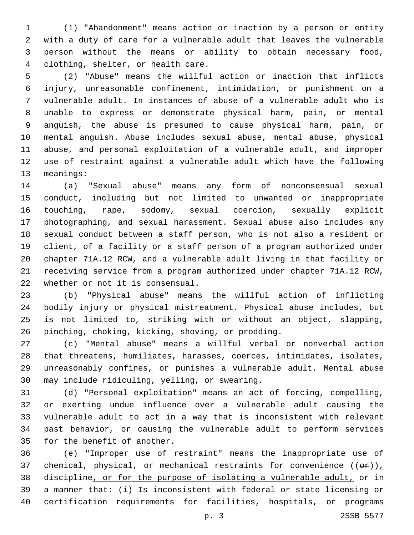(1) "Abandonment" means action or inaction by a person or entity with a duty of care for a vulnerable adult that leaves the vulnerable person without the means or ability to obtain necessary food, clothing, shelter, or health care.4

 (2) "Abuse" means the willful action or inaction that inflicts injury, unreasonable confinement, intimidation, or punishment on a vulnerable adult. In instances of abuse of a vulnerable adult who is unable to express or demonstrate physical harm, pain, or mental anguish, the abuse is presumed to cause physical harm, pain, or mental anguish. Abuse includes sexual abuse, mental abuse, physical abuse, and personal exploitation of a vulnerable adult, and improper use of restraint against a vulnerable adult which have the following 13 meanings:

 (a) "Sexual abuse" means any form of nonconsensual sexual conduct, including but not limited to unwanted or inappropriate touching, rape, sodomy, sexual coercion, sexually explicit photographing, and sexual harassment. Sexual abuse also includes any sexual conduct between a staff person, who is not also a resident or client, of a facility or a staff person of a program authorized under chapter 71A.12 RCW, and a vulnerable adult living in that facility or receiving service from a program authorized under chapter 71A.12 RCW, 22 whether or not it is consensual.

 (b) "Physical abuse" means the willful action of inflicting bodily injury or physical mistreatment. Physical abuse includes, but is not limited to, striking with or without an object, slapping, pinching, choking, kicking, shoving, or prodding.26

 (c) "Mental abuse" means a willful verbal or nonverbal action that threatens, humiliates, harasses, coerces, intimidates, isolates, unreasonably confines, or punishes a vulnerable adult. Mental abuse 30 may include ridiculing, yelling, or swearing.

 (d) "Personal exploitation" means an act of forcing, compelling, or exerting undue influence over a vulnerable adult causing the vulnerable adult to act in a way that is inconsistent with relevant past behavior, or causing the vulnerable adult to perform services 35 for the benefit of another.

 (e) "Improper use of restraint" means the inappropriate use of 37 chemical, physical, or mechanical restraints for convenience  $((\theta \cdot \mathbf{r}))_+$  discipline, or for the purpose of isolating a vulnerable adult, or in a manner that: (i) Is inconsistent with federal or state licensing or certification requirements for facilities, hospitals, or programs

p. 3 2SSB 5577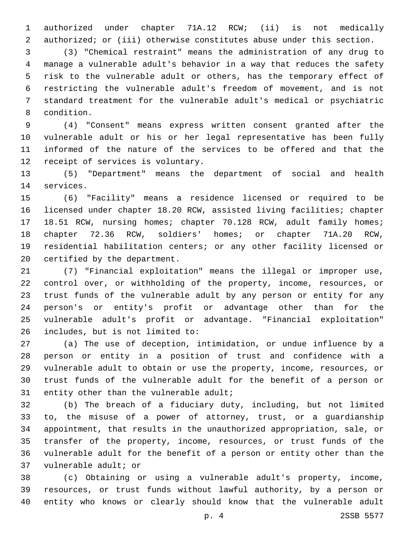authorized under chapter 71A.12 RCW; (ii) is not medically 2 authorized; or (iii) otherwise constitutes abuse under this section.

 (3) "Chemical restraint" means the administration of any drug to manage a vulnerable adult's behavior in a way that reduces the safety risk to the vulnerable adult or others, has the temporary effect of restricting the vulnerable adult's freedom of movement, and is not standard treatment for the vulnerable adult's medical or psychiatric 8 condition.

 (4) "Consent" means express written consent granted after the vulnerable adult or his or her legal representative has been fully informed of the nature of the services to be offered and that the 12 receipt of services is voluntary.

 (5) "Department" means the department of social and health 14 services.

 (6) "Facility" means a residence licensed or required to be licensed under chapter 18.20 RCW, assisted living facilities; chapter 18.51 RCW, nursing homes; chapter 70.128 RCW, adult family homes; chapter 72.36 RCW, soldiers' homes; or chapter 71A.20 RCW, residential habilitation centers; or any other facility licensed or 20 certified by the department.

 (7) "Financial exploitation" means the illegal or improper use, control over, or withholding of the property, income, resources, or trust funds of the vulnerable adult by any person or entity for any person's or entity's profit or advantage other than for the vulnerable adult's profit or advantage. "Financial exploitation" 26 includes, but is not limited to:

 (a) The use of deception, intimidation, or undue influence by a person or entity in a position of trust and confidence with a vulnerable adult to obtain or use the property, income, resources, or trust funds of the vulnerable adult for the benefit of a person or 31 entity other than the vulnerable adult;

 (b) The breach of a fiduciary duty, including, but not limited to, the misuse of a power of attorney, trust, or a guardianship appointment, that results in the unauthorized appropriation, sale, or transfer of the property, income, resources, or trust funds of the vulnerable adult for the benefit of a person or entity other than the 37 vulnerable adult; or

 (c) Obtaining or using a vulnerable adult's property, income, resources, or trust funds without lawful authority, by a person or entity who knows or clearly should know that the vulnerable adult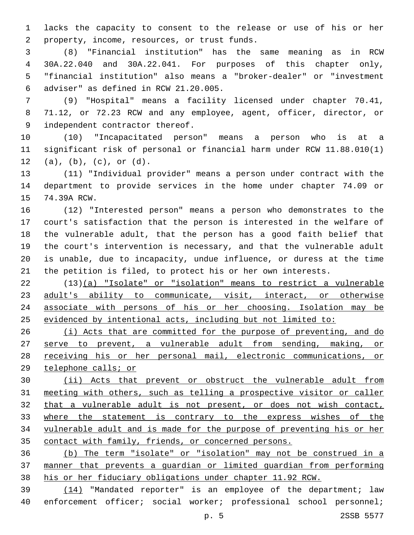lacks the capacity to consent to the release or use of his or her 2 property, income, resources, or trust funds.

 (8) "Financial institution" has the same meaning as in RCW 30A.22.040 and 30A.22.041. For purposes of this chapter only, "financial institution" also means a "broker-dealer" or "investment adviser" as defined in RCW 21.20.005.6

 (9) "Hospital" means a facility licensed under chapter 70.41, 71.12, or 72.23 RCW and any employee, agent, officer, director, or 9 independent contractor thereof.

 (10) "Incapacitated person" means a person who is at a significant risk of personal or financial harm under RCW 11.88.010(1) (a), (b), (c), or (d).

 (11) "Individual provider" means a person under contract with the department to provide services in the home under chapter 74.09 or 15 74.39A RCW.

 (12) "Interested person" means a person who demonstrates to the court's satisfaction that the person is interested in the welfare of the vulnerable adult, that the person has a good faith belief that the court's intervention is necessary, and that the vulnerable adult is unable, due to incapacity, undue influence, or duress at the time the petition is filed, to protect his or her own interests.

 (13)(a) "Isolate" or "isolation" means to restrict a vulnerable 23 adult's ability to communicate, visit, interact, or otherwise associate with persons of his or her choosing. Isolation may be 25 evidenced by intentional acts, including but not limited to:

 (i) Acts that are committed for the purpose of preventing, and do serve to prevent, a vulnerable adult from sending, making, or receiving his or her personal mail, electronic communications, or telephone calls; or

 (ii) Acts that prevent or obstruct the vulnerable adult from meeting with others, such as telling a prospective visitor or caller that a vulnerable adult is not present, or does not wish contact, where the statement is contrary to the express wishes of the vulnerable adult and is made for the purpose of preventing his or her contact with family, friends, or concerned persons.

 (b) The term "isolate" or "isolation" may not be construed in a manner that prevents a guardian or limited guardian from performing his or her fiduciary obligations under chapter 11.92 RCW.

 (14) "Mandated reporter" is an employee of the department; law enforcement officer; social worker; professional school personnel;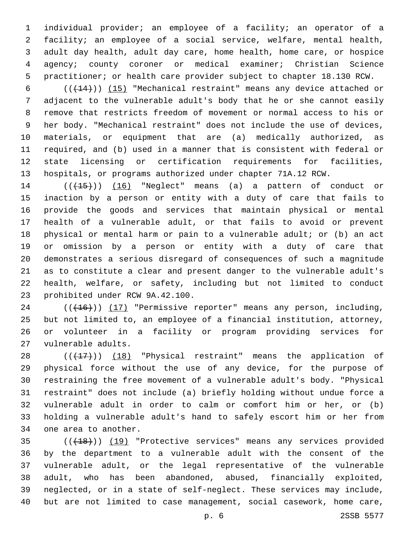individual provider; an employee of a facility; an operator of a facility; an employee of a social service, welfare, mental health, adult day health, adult day care, home health, home care, or hospice agency; county coroner or medical examiner; Christian Science practitioner; or health care provider subject to chapter 18.130 RCW.

 $((+14))$   $(15)$  "Mechanical restraint" means any device attached or adjacent to the vulnerable adult's body that he or she cannot easily remove that restricts freedom of movement or normal access to his or her body. "Mechanical restraint" does not include the use of devices, materials, or equipment that are (a) medically authorized, as required, and (b) used in a manner that is consistent with federal or state licensing or certification requirements for facilities, hospitals, or programs authorized under chapter 71A.12 RCW.

14 (( $(15)$ )) (16) "Neglect" means (a) a pattern of conduct or inaction by a person or entity with a duty of care that fails to provide the goods and services that maintain physical or mental health of a vulnerable adult, or that fails to avoid or prevent physical or mental harm or pain to a vulnerable adult; or (b) an act or omission by a person or entity with a duty of care that demonstrates a serious disregard of consequences of such a magnitude as to constitute a clear and present danger to the vulnerable adult's health, welfare, or safety, including but not limited to conduct 23 prohibited under RCW 9A.42.100.

24 (( $(16)$ )) (17) "Permissive reporter" means any person, including, but not limited to, an employee of a financial institution, attorney, or volunteer in a facility or program providing services for 27 vulnerable adults.

28 (( $(17)$ )) (18) "Physical restraint" means the application of physical force without the use of any device, for the purpose of restraining the free movement of a vulnerable adult's body. "Physical restraint" does not include (a) briefly holding without undue force a vulnerable adult in order to calm or comfort him or her, or (b) holding a vulnerable adult's hand to safely escort him or her from 34 one area to another.

35 (( $(18)$ ) (19) "Protective services" means any services provided by the department to a vulnerable adult with the consent of the vulnerable adult, or the legal representative of the vulnerable adult, who has been abandoned, abused, financially exploited, neglected, or in a state of self-neglect. These services may include, but are not limited to case management, social casework, home care,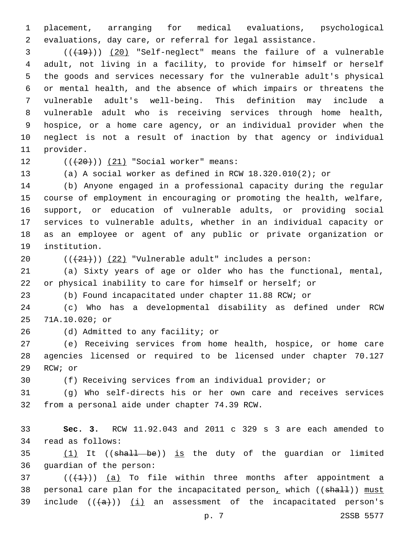placement, arranging for medical evaluations, psychological evaluations, day care, or referral for legal assistance.

3 (( $(19)$ ) (20) "Self-neglect" means the failure of a vulnerable adult, not living in a facility, to provide for himself or herself the goods and services necessary for the vulnerable adult's physical or mental health, and the absence of which impairs or threatens the vulnerable adult's well-being. This definition may include a vulnerable adult who is receiving services through home health, hospice, or a home care agency, or an individual provider when the neglect is not a result of inaction by that agency or individual 11 provider.

12  $((+20))$   $(21)$  "Social worker" means:

(a) A social worker as defined in RCW 18.320.010(2); or

 (b) Anyone engaged in a professional capacity during the regular course of employment in encouraging or promoting the health, welfare, support, or education of vulnerable adults, or providing social services to vulnerable adults, whether in an individual capacity or as an employee or agent of any public or private organization or 19 institution.

20  $((+21))$   $(22)$  "Vulnerable adult" includes a person:

 (a) Sixty years of age or older who has the functional, mental, or physical inability to care for himself or herself; or

(b) Found incapacitated under chapter 11.88 RCW; or

 (c) Who has a developmental disability as defined under RCW 71A.10.020; or25

26 (d) Admitted to any facility; or

 (e) Receiving services from home health, hospice, or home care agencies licensed or required to be licensed under chapter 70.127 29 RCW; or

(f) Receiving services from an individual provider; or

 (g) Who self-directs his or her own care and receives services 32 from a personal aide under chapter 74.39 RCW.

 **Sec. 3.** RCW 11.92.043 and 2011 c 329 s 3 are each amended to 34 read as follows:

35  $(1)$  It ((shall be)) is the duty of the guardian or limited 36 quardian of the person:

 (( $(1)$ )) (a) To file within three months after appointment a 38 personal care plan for the incapacitated person, which ((shall)) must 39 include  $((+a))$   $(i)$  an assessment of the incapacitated person's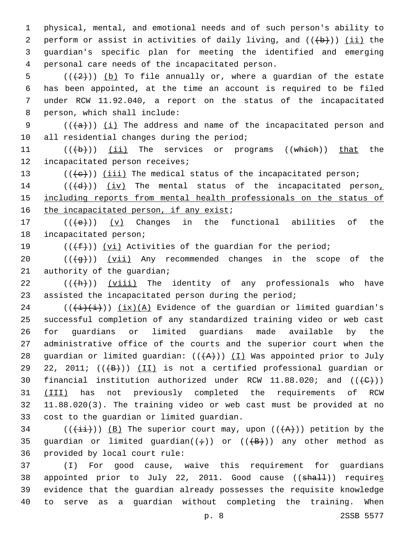1 physical, mental, and emotional needs and of such person's ability to 2 perform or assist in activities of daily living, and  $((+b))$  (ii) the 3 guardian's specific plan for meeting the identified and emerging personal care needs of the incapacitated person.4

5 ( $(\frac{2}{2})$ ) (b) To file annually or, where a guardian of the estate 6 has been appointed, at the time an account is required to be filed 7 under RCW 11.92.040, a report on the status of the incapacitated 8 person, which shall include:

9  $((+a))$   $(i)$  The address and name of the incapacitated person and 10 all residential changes during the period;

11 (((+b)) (ii) The services or programs ((which)) that the 12 incapacitated person receives;

13  $((+e))$  ( $iii)$  The medical status of the incapacitated person;

14  $((+d))$   $(iv)$  The mental status of the incapacitated person<sub>1</sub> 15 including reports from mental health professionals on the status of 16 the incapacitated person, if any exist;

17  $((+e))$   $(v)$  Changes in the functional abilities of the 18 incapacitated person;

19  $((\text{+f}))(\text{v}i)$  Activities of the guardian for the period;

20  $((+g+))$   $(vii)$  Any recommended changes in the scope of the 21 authority of the guardian;

 $22$  (( $\left(\frac{h}{h}\right)$ ) (viii) The identity of any professionals who have 23 assisted the incapacitated person during the period;

24  $((\overline{i}(\overline{i})\overline{i}))$   $(ix)(A)$  Evidence of the guardian or limited guardian's 25 successful completion of any standardized training video or web cast 26 for guardians or limited guardians made available by the 27 administrative office of the courts and the superior court when the 28 guardian or limited guardian:  $((+A))$  (I) Was appointed prior to July 29 22, 2011;  $((+B))$   $(II)$  is not a certified professional guardian or 30 financial institution authorized under RCW 11.88.020; and  $((\{C\}))$ 31 (III) has not previously completed the requirements of RCW 32 11.88.020(3). The training video or web cast must be provided at no 33 cost to the quardian or limited quardian.

34 (( $(\frac{1+i}{1})$ ) (B) The superior court may, upon ( $(\frac{1}{2})$ ) petition by the 35 guardian or limited guardian( $(\div)$ ) or ( $(\overline{\{B\}})$ ) any other method as 36 provided by local court rule:

 (I) For good cause, waive this requirement for guardians 38 appointed prior to July 22, 2011. Good cause ((shall)) requires evidence that the guardian already possesses the requisite knowledge to serve as a guardian without completing the training. When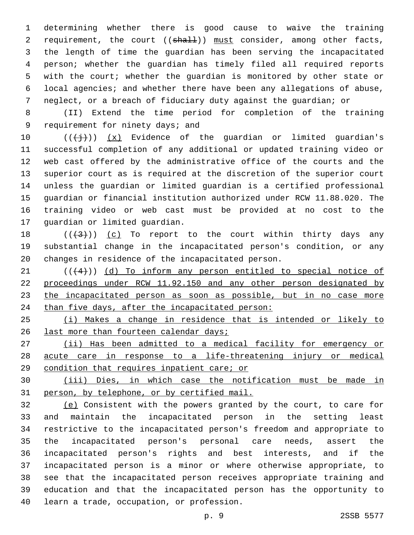determining whether there is good cause to waive the training 2 requirement, the court ((shall)) must consider, among other facts, the length of time the guardian has been serving the incapacitated person; whether the guardian has timely filed all required reports with the court; whether the guardian is monitored by other state or local agencies; and whether there have been any allegations of abuse, neglect, or a breach of fiduciary duty against the guardian; or

 (II) Extend the time period for completion of the training 9 requirement for ninety days; and

 $((+\frac{1}{2}))(x)$  Evidence of the guardian or limited guardian's successful completion of any additional or updated training video or web cast offered by the administrative office of the courts and the superior court as is required at the discretion of the superior court unless the guardian or limited guardian is a certified professional guardian or financial institution authorized under RCW 11.88.020. The training video or web cast must be provided at no cost to the 17 guardian or limited guardian.

18  $((+3+))$   $(c)$  To report to the court within thirty days any substantial change in the incapacitated person's condition, or any 20 changes in residence of the incapacitated person.

 $(1 + 4)$ ) (d) To inform any person entitled to special notice of 22 proceedings under RCW 11.92.150 and any other person designated by 23 the incapacitated person as soon as possible, but in no case more 24 than five days, after the incapacitated person:

 (i) Makes a change in residence that is intended or likely to 26 last more than fourteen calendar days;

 (ii) Has been admitted to a medical facility for emergency or acute care in response to a life-threatening injury or medical condition that requires inpatient care; or

 (iii) Dies, in which case the notification must be made in person, by telephone, or by certified mail.

 (e) Consistent with the powers granted by the court, to care for and maintain the incapacitated person in the setting least restrictive to the incapacitated person's freedom and appropriate to the incapacitated person's personal care needs, assert the incapacitated person's rights and best interests, and if the incapacitated person is a minor or where otherwise appropriate, to see that the incapacitated person receives appropriate training and education and that the incapacitated person has the opportunity to 40 learn a trade, occupation, or profession.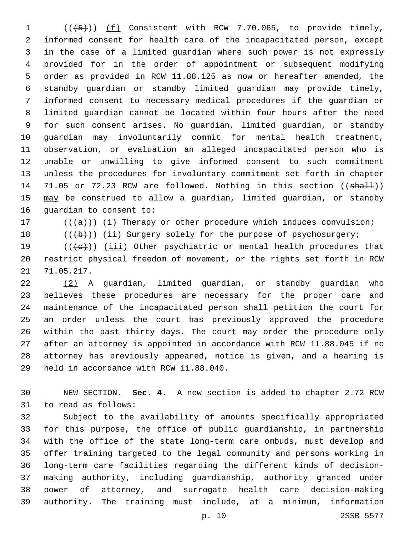$((+5))$   $(f)$  Consistent with RCW 7.70.065, to provide timely, informed consent for health care of the incapacitated person, except in the case of a limited guardian where such power is not expressly provided for in the order of appointment or subsequent modifying order as provided in RCW 11.88.125 as now or hereafter amended, the standby guardian or standby limited guardian may provide timely, informed consent to necessary medical procedures if the guardian or limited guardian cannot be located within four hours after the need for such consent arises. No guardian, limited guardian, or standby guardian may involuntarily commit for mental health treatment, observation, or evaluation an alleged incapacitated person who is unable or unwilling to give informed consent to such commitment unless the procedures for involuntary commitment set forth in chapter 14 71.05 or 72.23 RCW are followed. Nothing in this section ((shall)) 15 may be construed to allow a guardian, limited guardian, or standby 16 quardian to consent to:

17  $((+a))$  ( $(i)$  Therapy or other procedure which induces convulsion;

18  $((\{b\})$  (ii) Surgery solely for the purpose of psychosurgery;

19  $((+e))$  (iii) Other psychiatric or mental health procedures that restrict physical freedom of movement, or the rights set forth in RCW 21 71.05.217.

 (2) A guardian, limited guardian, or standby guardian who believes these procedures are necessary for the proper care and maintenance of the incapacitated person shall petition the court for an order unless the court has previously approved the procedure within the past thirty days. The court may order the procedure only after an attorney is appointed in accordance with RCW 11.88.045 if no attorney has previously appeared, notice is given, and a hearing is 29 held in accordance with RCW 11.88.040.

 NEW SECTION. **Sec. 4.** A new section is added to chapter 2.72 RCW 31 to read as follows:

 Subject to the availability of amounts specifically appropriated for this purpose, the office of public guardianship, in partnership with the office of the state long-term care ombuds, must develop and offer training targeted to the legal community and persons working in long-term care facilities regarding the different kinds of decision- making authority, including guardianship, authority granted under power of attorney, and surrogate health care decision-making authority. The training must include, at a minimum, information

p. 10 2SSB 5577